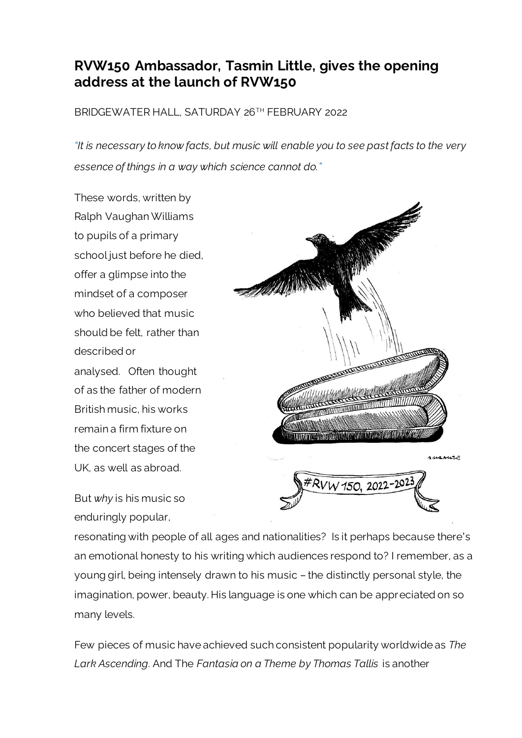## **RVW150 Ambassador, Tasmin Little, gives the opening address at the launch of RVW150**

BRIDGEWATER HALL, SATURDAY 26TH FEBRUARY 2022

*"It is necessary to know facts, but music will enable you to see past facts to the very essence of things in a way which science cannot do."*

These words, written by Ralph Vaughan Williams to pupils of a primary school just before he died, offer a glimpse into the mindset of a composer who believed that music should be felt, rather than described or analysed. Often thought of as the father of modern British music, his works remain a firm fixture on the concert stages of the UK, as well as abroad.

But *why* is his music so enduringly popular,



resonating with people of all ages and nationalities? Is it perhaps because there's an emotional honesty to his writing which audiences respond to? I remember, as a young girl, being intensely drawn to his music – the distinctly personal style, the imagination, power, beauty. His language is one which can be appreciated on so many levels.

Few pieces of music have achieved such consistent popularity worldwide as *The Lark Ascending.* And The *Fantasia on a Theme by Thomas Tallis* is another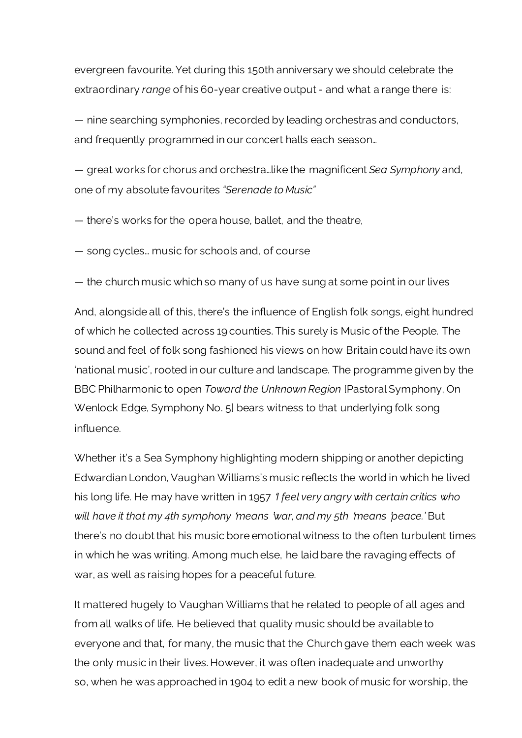evergreen favourite. Yet during this 150th anniversary we should celebrate the extraordinary *range* of his 60-year creative output - and what a range there is:

— nine searching symphonies, recorded by leading orchestras and conductors, and frequently programmed in our concert halls each season…

— great works for chorus and orchestra…like the magnificent *Sea Symphony* and, one of my absolute favourites *"Serenade to Music"*

— there's works for the opera house, ballet, and the theatre,

— song cycles… music for schools and, of course

— the church music which so many of us have sung at some point in our lives

And, alongside all of this, there's the influence of English folk songs, eight hundred of which he collected across 19 counties. This surely is Music of the People. The sound and feel of folk song fashioned his views on how Britain could have its own 'national music', rooted in our culture and landscape. The programme given by the BBC Philharmonic to open *Toward the Unknown Region* [Pastoral Symphony, On Wenlock Edge, Symphony No. 5] bears witness to that underlying folk song influence.

Whether it's a Sea Symphony highlighting modern shipping or another depicting Edwardian London, Vaughan Williams's music reflects the world in which he lived his long life. He may have written in 1957 '*I feel very angry with certain critics who will have it that my 4th symphony* '*means* '*war, and my 5th* '*means* '*peace.'* But there's no doubt that his music bore emotional witness to the often turbulent times in which he was writing. Among much else, he laid bare the ravaging effects of war, as well as raising hopes for a peaceful future.

It mattered hugely to Vaughan Williams that he related to people of all ages and from all walks of life. He believed that quality music should be available to everyone and that, for many, the music that the Church gave them each week was the only music in their lives. However, it was often inadequate and unworthy so, when he was approached in 1904 to edit a new book of music for worship, the